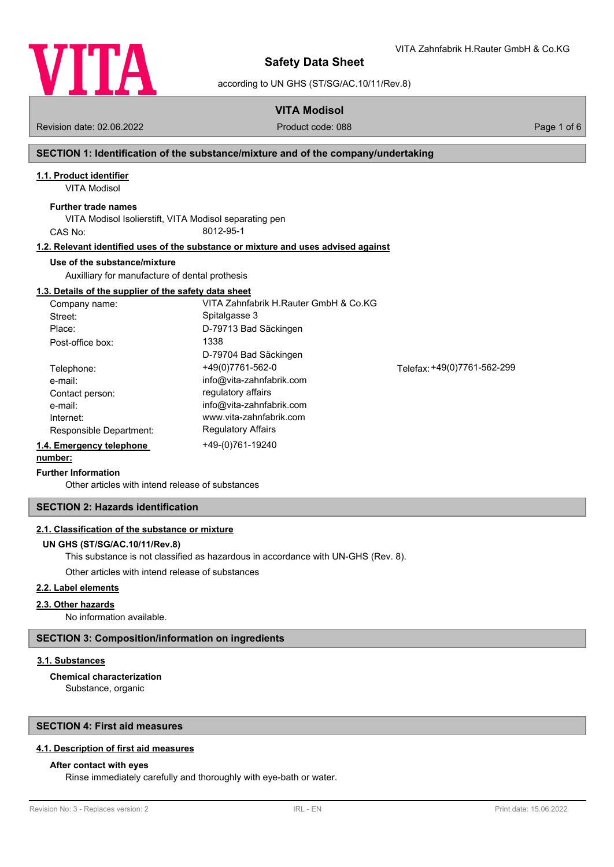

VITA Zahnfabrik H.Rauter GmbH & Co.KG

according to UN GHS (ST/SG/AC.10/11/Rev.8)

## **VITA Modisol**

Revision date: 02.06.2022 Product code: 088 Page 1 of 6

## **SECTION 1: Identification of the substance/mixture and of the company/undertaking**

## **1.1. Product identifier**

VITA Modisol

### **Further trade names**

VITA Modisol Isolierstift, VITA Modisol separating pen CAS No: 8012-95-1

#### **1.2. Relevant identified uses of the substance or mixture and uses advised against**

#### **Use of the substance/mixture**

Auxilliary for manufacture of dental prothesis

#### **1.3. Details of the supplier of the safety data sheet**

| Company name:            | VITA Zahnfabrik H.Rauter GmbH & Co.KG |                             |
|--------------------------|---------------------------------------|-----------------------------|
| Street:                  | Spitalgasse 3                         |                             |
| Place:                   | D-79713 Bad Säckingen                 |                             |
| Post-office box:         | 1338                                  |                             |
|                          | D-79704 Bad Säckingen                 |                             |
| Telephone:               | +49(0)7761-562-0                      | Telefax: +49(0)7761-562-299 |
| e-mail:                  | info@vita-zahnfabrik.com              |                             |
| Contact person:          | regulatory affairs                    |                             |
| e-mail:                  | info@vita-zahnfabrik.com              |                             |
| Internet:                | www.vita-zahnfabrik.com               |                             |
| Responsible Department:  | <b>Regulatory Affairs</b>             |                             |
| 1.4. Emergency telephone | +49-(0)761-19240                      |                             |

## **number:**

#### **Further Information**

Other articles with intend release of substances

### **SECTION 2: Hazards identification**

#### **2.1. Classification of the substance or mixture**

## **UN GHS (ST/SG/AC.10/11/Rev.8)**

This substance is not classified as hazardous in accordance with UN-GHS (Rev. 8).

Other articles with intend release of substances

#### **2.2. Label elements**

#### **2.3. Other hazards**

No information available.

#### **SECTION 3: Composition/information on ingredients**

#### **3.1. Substances**

Substance, organic **Chemical characterization**

#### **SECTION 4: First aid measures**

### **4.1. Description of first aid measures**

## **After contact with eyes**

Rinse immediately carefully and thoroughly with eye-bath or water.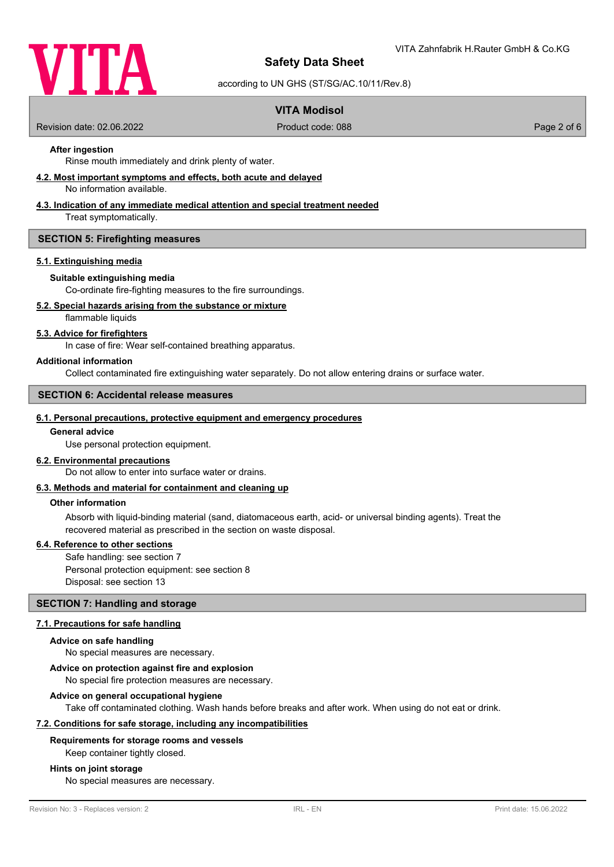

according to UN GHS (ST/SG/AC.10/11/Rev.8)

## **VITA Modisol**

Revision date: 02.06.2022 Product code: 088 Page 2 of 6

## **After ingestion**

Rinse mouth immediately and drink plenty of water.

#### **4.2. Most important symptoms and effects, both acute and delayed**

No information available.

## **4.3. Indication of any immediate medical attention and special treatment needed**

Treat symptomatically.

#### **SECTION 5: Firefighting measures**

#### **5.1. Extinguishing media**

#### **Suitable extinguishing media**

Co-ordinate fire-fighting measures to the fire surroundings.

#### **5.2. Special hazards arising from the substance or mixture**

flammable liquids

#### **5.3. Advice for firefighters**

In case of fire: Wear self-contained breathing apparatus.

#### **Additional information**

Collect contaminated fire extinguishing water separately. Do not allow entering drains or surface water.

## **SECTION 6: Accidental release measures**

#### **6.1. Personal precautions, protective equipment and emergency procedures**

#### **General advice**

Use personal protection equipment.

#### **6.2. Environmental precautions**

Do not allow to enter into surface water or drains.

#### **6.3. Methods and material for containment and cleaning up**

#### **Other information**

Absorb with liquid-binding material (sand, diatomaceous earth, acid- or universal binding agents). Treat the recovered material as prescribed in the section on waste disposal.

#### **6.4. Reference to other sections**

Safe handling: see section 7 Personal protection equipment: see section 8 Disposal: see section 13

#### **SECTION 7: Handling and storage**

#### **7.1. Precautions for safe handling**

#### **Advice on safe handling**

No special measures are necessary.

#### **Advice on protection against fire and explosion**

No special fire protection measures are necessary.

#### **Advice on general occupational hygiene**

Take off contaminated clothing. Wash hands before breaks and after work. When using do not eat or drink.

#### **7.2. Conditions for safe storage, including any incompatibilities**

#### **Requirements for storage rooms and vessels**

Keep container tightly closed.

#### **Hints on joint storage**

No special measures are necessary.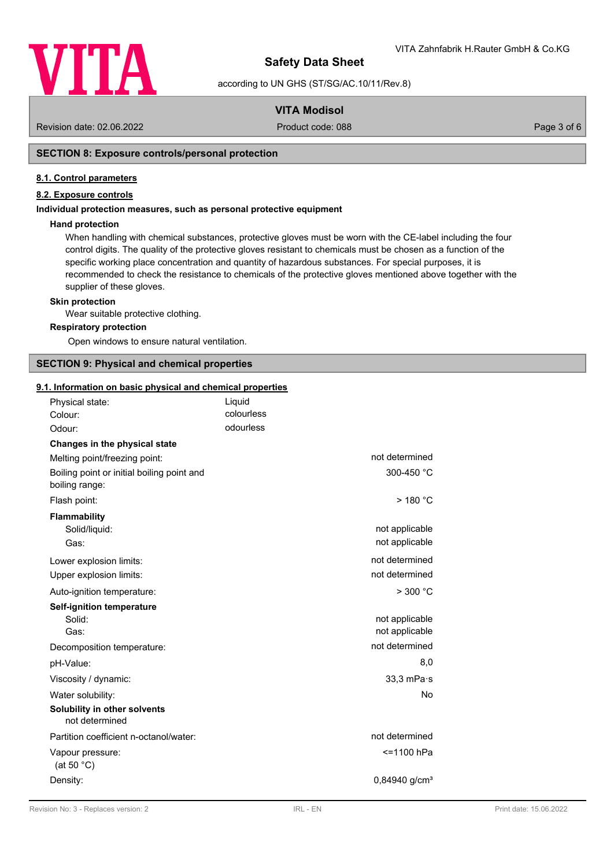

according to UN GHS (ST/SG/AC.10/11/Rev.8)

## **VITA Modisol**

Revision date: 02.06.2022 Product code: 088 Page 3 of 6

## **SECTION 8: Exposure controls/personal protection**

#### **8.1. Control parameters**

## **8.2. Exposure controls**

#### **Individual protection measures, such as personal protective equipment**

#### **Hand protection**

When handling with chemical substances, protective gloves must be worn with the CE-label including the four control digits. The quality of the protective gloves resistant to chemicals must be chosen as a function of the specific working place concentration and quantity of hazardous substances. For special purposes, it is recommended to check the resistance to chemicals of the protective gloves mentioned above together with the supplier of these gloves.

#### **Skin protection**

Wear suitable protective clothing.

#### **Respiratory protection**

Open windows to ensure natural ventilation.

## **SECTION 9: Physical and chemical properties**

#### **9.1. Information on basic physical and chemical properties**

| Physical state:                                              | Liquid<br>colourless |                             |
|--------------------------------------------------------------|----------------------|-----------------------------|
| Colour:<br>Odour:                                            | odourless            |                             |
|                                                              |                      |                             |
| Changes in the physical state                                |                      | not determined              |
| Melting point/freezing point:                                |                      |                             |
| Boiling point or initial boiling point and<br>boiling range: |                      | 300-450 °C                  |
| Flash point:                                                 |                      | $>$ 180 $^{\circ}$ C        |
| <b>Flammability</b>                                          |                      |                             |
| Solid/liquid:                                                |                      | not applicable              |
| Gas:                                                         |                      | not applicable              |
| Lower explosion limits:                                      |                      | not determined              |
| Upper explosion limits:                                      |                      | not determined              |
| Auto-ignition temperature:                                   |                      | $>$ 300 $^{\circ}$ C        |
| <b>Self-ignition temperature</b>                             |                      |                             |
| Solid:                                                       |                      | not applicable              |
| Gas:                                                         |                      | not applicable              |
| Decomposition temperature:                                   |                      | not determined              |
| pH-Value:                                                    |                      | 8,0                         |
| Viscosity / dynamic:                                         |                      | $33,3$ mPa $\cdot$ s        |
| Water solubility:                                            |                      | No.                         |
| Solubility in other solvents<br>not determined               |                      |                             |
| Partition coefficient n-octanol/water:                       |                      | not determined              |
| Vapour pressure:<br>(at 50 $°C$ )                            |                      | <=1100 hPa                  |
| Density:                                                     |                      | $0,84940$ g/cm <sup>3</sup> |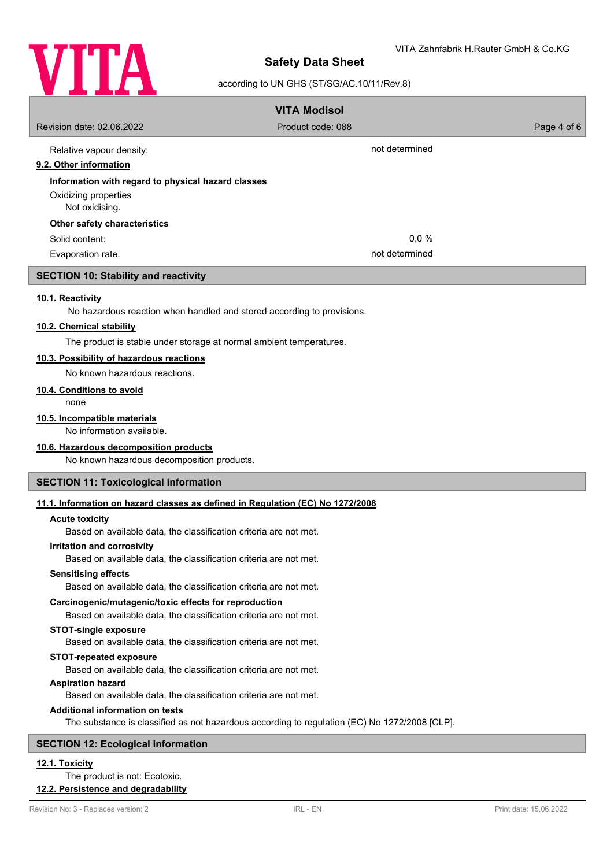

## according to UN GHS (ST/SG/AC.10/11/Rev.8)

|                                                                                                  | <b>VITA Modisol</b> |             |
|--------------------------------------------------------------------------------------------------|---------------------|-------------|
| Revision date: 02.06.2022                                                                        | Product code: 088   | Page 4 of 6 |
|                                                                                                  | not determined      |             |
| Relative vapour density:<br>9.2. Other information                                               |                     |             |
| Information with regard to physical hazard classes                                               |                     |             |
| Oxidizing properties                                                                             |                     |             |
| Not oxidising.                                                                                   |                     |             |
| Other safety characteristics                                                                     |                     |             |
| Solid content:                                                                                   | 0,0%                |             |
| Evaporation rate:                                                                                | not determined      |             |
| <b>SECTION 10: Stability and reactivity</b>                                                      |                     |             |
| 10.1. Reactivity                                                                                 |                     |             |
| No hazardous reaction when handled and stored according to provisions.                           |                     |             |
| 10.2. Chemical stability                                                                         |                     |             |
| The product is stable under storage at normal ambient temperatures.                              |                     |             |
| 10.3. Possibility of hazardous reactions                                                         |                     |             |
| No known hazardous reactions.                                                                    |                     |             |
| 10.4. Conditions to avoid<br>none                                                                |                     |             |
| 10.5. Incompatible materials                                                                     |                     |             |
| No information available.                                                                        |                     |             |
| 10.6. Hazardous decomposition products                                                           |                     |             |
| No known hazardous decomposition products.                                                       |                     |             |
| <b>SECTION 11: Toxicological information</b>                                                     |                     |             |
| 11.1. Information on hazard classes as defined in Regulation (EC) No 1272/2008                   |                     |             |
| <b>Acute toxicity</b>                                                                            |                     |             |
| Based on available data, the classification criteria are not met.                                |                     |             |
| Irritation and corrosivity<br>Based on available data, the classification criteria are not met.  |                     |             |
| <b>Sensitising effects</b>                                                                       |                     |             |
| Based on available data, the classification criteria are not met.                                |                     |             |
| Carcinogenic/mutagenic/toxic effects for reproduction                                            |                     |             |
| Based on available data, the classification criteria are not met.                                |                     |             |
| <b>STOT-single exposure</b><br>Based on available data, the classification criteria are not met. |                     |             |
| <b>STOT-repeated exposure</b>                                                                    |                     |             |
| Based on available data, the classification criteria are not met.<br><b>Aspiration hazard</b>    |                     |             |
| Based on available data, the classification criteria are not met.                                |                     |             |

**Additional information on tests**

The substance is classified as not hazardous according to regulation (EC) No 1272/2008 [CLP].

## **SECTION 12: Ecological information**

## **12.1. Toxicity**

## The product is not: Ecotoxic. **12.2. Persistence and degradability**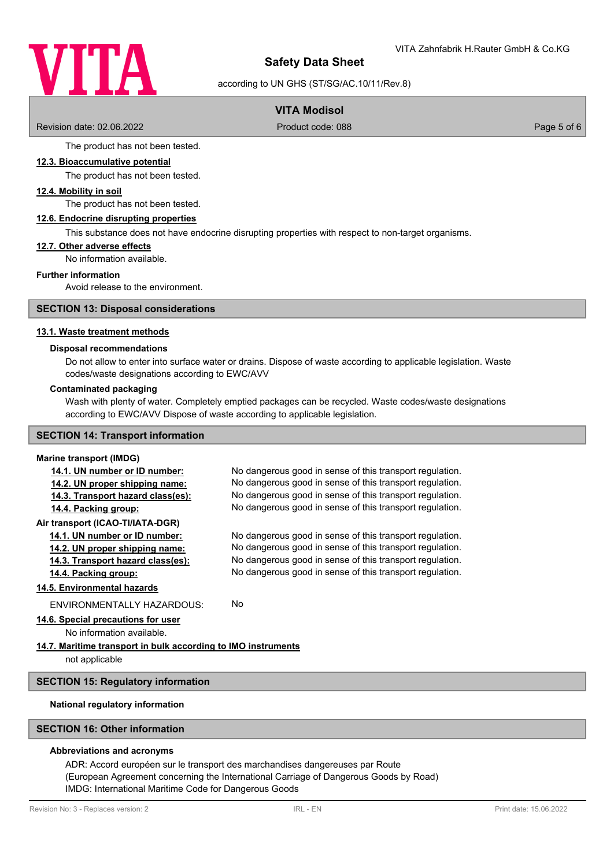

according to UN GHS (ST/SG/AC.10/11/Rev.8)

## **VITA Modisol**

Revision date: 02.06.2022 Product code: 088 Page 5 of 6

The product has not been tested.

## **12.3. Bioaccumulative potential**

The product has not been tested.

## **12.4. Mobility in soil**

The product has not been tested.

#### **12.6. Endocrine disrupting properties**

This substance does not have endocrine disrupting properties with respect to non-target organisms.

#### **12.7. Other adverse effects**

No information available.

#### **Further information**

Avoid release to the environment.

#### **SECTION 13: Disposal considerations**

#### **13.1. Waste treatment methods**

#### **Disposal recommendations**

Do not allow to enter into surface water or drains. Dispose of waste according to applicable legislation. Waste codes/waste designations according to EWC/AVV

#### **Contaminated packaging**

Wash with plenty of water. Completely emptied packages can be recycled. Waste codes/waste designations according to EWC/AVV Dispose of waste according to applicable legislation.

## **SECTION 14: Transport information**

## **Marine transport (IMDG)**

| No dangerous good in sense of this transport regulation.      |  |  |  |
|---------------------------------------------------------------|--|--|--|
| No dangerous good in sense of this transport regulation.      |  |  |  |
| No dangerous good in sense of this transport regulation.      |  |  |  |
| No dangerous good in sense of this transport regulation.      |  |  |  |
|                                                               |  |  |  |
| No dangerous good in sense of this transport regulation.      |  |  |  |
| No dangerous good in sense of this transport regulation.      |  |  |  |
| No dangerous good in sense of this transport regulation.      |  |  |  |
| No dangerous good in sense of this transport regulation.      |  |  |  |
|                                                               |  |  |  |
| No.                                                           |  |  |  |
|                                                               |  |  |  |
|                                                               |  |  |  |
| 14.7. Maritime transport in bulk according to IMO instruments |  |  |  |
|                                                               |  |  |  |
|                                                               |  |  |  |

#### **SECTION 15: Regulatory information**

#### **National regulatory information**

## **SECTION 16: Other information**

### **Abbreviations and acronyms**

ADR: Accord européen sur le transport des marchandises dangereuses par Route (European Agreement concerning the International Carriage of Dangerous Goods by Road) IMDG: International Maritime Code for Dangerous Goods